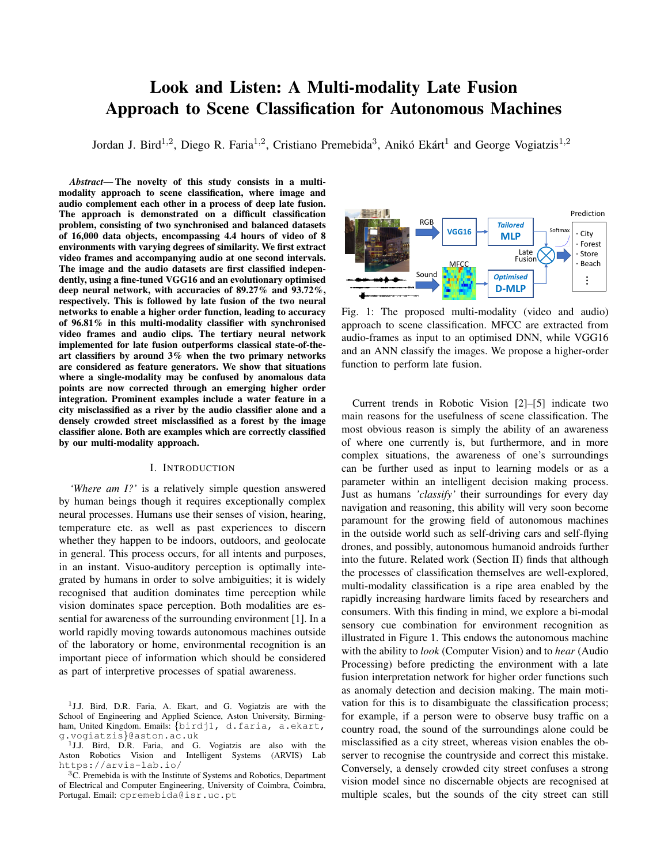# Look and Listen: A Multi-modality Late Fusion Approach to Scene Classification for Autonomous Machines

Jordan J. Bird<sup>1,2</sup>, Diego R. Faria<sup>1,2</sup>, Cristiano Premebida<sup>3</sup>, Anikó Ekárt<sup>1</sup> and George Vogiatzis<sup>1,2</sup>

*Abstract*— The novelty of this study consists in a multimodality approach to scene classification, where image and audio complement each other in a process of deep late fusion. The approach is demonstrated on a difficult classification problem, consisting of two synchronised and balanced datasets of 16,000 data objects, encompassing 4.4 hours of video of 8 environments with varying degrees of similarity. We first extract video frames and accompanying audio at one second intervals. The image and the audio datasets are first classified independently, using a fine-tuned VGG16 and an evolutionary optimised deep neural network, with accuracies of 89.27% and 93.72%, respectively. This is followed by late fusion of the two neural networks to enable a higher order function, leading to accuracy of 96.81% in this multi-modality classifier with synchronised video frames and audio clips. The tertiary neural network implemented for late fusion outperforms classical state-of-theart classifiers by around 3% when the two primary networks are considered as feature generators. We show that situations where a single-modality may be confused by anomalous data points are now corrected through an emerging higher order integration. Prominent examples include a water feature in a city misclassified as a river by the audio classifier alone and a densely crowded street misclassified as a forest by the image classifier alone. Both are examples which are correctly classified by our multi-modality approach.

## I. INTRODUCTION

*'Where am I?'* is a relatively simple question answered by human beings though it requires exceptionally complex neural processes. Humans use their senses of vision, hearing, temperature etc. as well as past experiences to discern whether they happen to be indoors, outdoors, and geolocate in general. This process occurs, for all intents and purposes, in an instant. Visuo-auditory perception is optimally integrated by humans in order to solve ambiguities; it is widely recognised that audition dominates time perception while vision dominates space perception. Both modalities are essential for awareness of the surrounding environment [1]. In a world rapidly moving towards autonomous machines outside of the laboratory or home, environmental recognition is an important piece of information which should be considered as part of interpretive processes of spatial awareness.



Fig. 1: The proposed multi-modality (video and audio) approach to scene classification. MFCC are extracted from audio-frames as input to an optimised DNN, while VGG16 and an ANN classify the images. We propose a higher-order function to perform late fusion.

Current trends in Robotic Vision [2]–[5] indicate two main reasons for the usefulness of scene classification. The most obvious reason is simply the ability of an awareness of where one currently is, but furthermore, and in more complex situations, the awareness of one's surroundings can be further used as input to learning models or as a parameter within an intelligent decision making process. Just as humans *'classify'* their surroundings for every day navigation and reasoning, this ability will very soon become paramount for the growing field of autonomous machines in the outside world such as self-driving cars and self-flying drones, and possibly, autonomous humanoid androids further into the future. Related work (Section II) finds that although the processes of classification themselves are well-explored, multi-modality classification is a ripe area enabled by the rapidly increasing hardware limits faced by researchers and consumers. With this finding in mind, we explore a bi-modal sensory cue combination for environment recognition as illustrated in Figure 1. This endows the autonomous machine with the ability to *look* (Computer Vision) and to *hear* (Audio Processing) before predicting the environment with a late fusion interpretation network for higher order functions such as anomaly detection and decision making. The main motivation for this is to disambiguate the classification process; for example, if a person were to observe busy traffic on a country road, the sound of the surroundings alone could be misclassified as a city street, whereas vision enables the observer to recognise the countryside and correct this mistake. Conversely, a densely crowded city street confuses a strong vision model since no discernable objects are recognised at multiple scales, but the sounds of the city street can still

<sup>&</sup>lt;sup>1</sup>J.J. Bird, D.R. Faria, A. Ekart, and G. Vogiatzis are with the School of Engineering and Applied Science, Aston University, Birmingham, United Kingdom. Emails: {birdj1, d.faria, a.ekart, g.vogiatzis}@aston.ac.uk 1 J.J. Bird, D.R. Faria, and G. Vogiatzis are also with the

Aston Robotics Vision and Intelligent Systems (ARVIS) Lab https://arvis-lab.io/

 ${}^{3}C$ . Premebida is with the Institute of Systems and Robotics, Department of Electrical and Computer Engineering, University of Coimbra, Coimbra, Portugal. Email: cpremebida@isr.uc.pt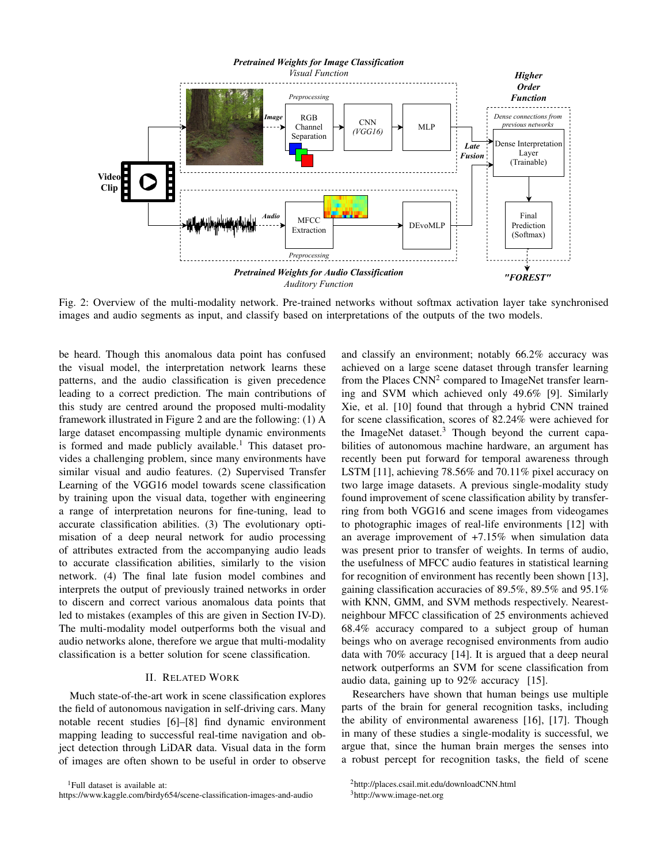

Fig. 2: Overview of the multi-modality network. Pre-trained networks without softmax activation layer take synchronised images and audio segments as input, and classify based on interpretations of the outputs of the two models.

be heard. Though this anomalous data point has confused the visual model, the interpretation network learns these patterns, and the audio classification is given precedence leading to a correct prediction. The main contributions of this study are centred around the proposed multi-modality framework illustrated in Figure 2 and are the following: (1) A large dataset encompassing multiple dynamic environments is formed and made publicly available.<sup>1</sup> This dataset provides a challenging problem, since many environments have similar visual and audio features. (2) Supervised Transfer Learning of the VGG16 model towards scene classification by training upon the visual data, together with engineering a range of interpretation neurons for fine-tuning, lead to accurate classification abilities. (3) The evolutionary optimisation of a deep neural network for audio processing of attributes extracted from the accompanying audio leads to accurate classification abilities, similarly to the vision network. (4) The final late fusion model combines and interprets the output of previously trained networks in order to discern and correct various anomalous data points that led to mistakes (examples of this are given in Section IV-D). The multi-modality model outperforms both the visual and audio networks alone, therefore we argue that multi-modality classification is a better solution for scene classification.

# II. RELATED WORK

Much state-of-the-art work in scene classification explores the field of autonomous navigation in self-driving cars. Many notable recent studies [6]–[8] find dynamic environment mapping leading to successful real-time navigation and object detection through LiDAR data. Visual data in the form of images are often shown to be useful in order to observe

and classify an environment; notably 66.2% accuracy was achieved on a large scene dataset through transfer learning from the Places  $CNN<sup>2</sup>$  compared to ImageNet transfer learning and SVM which achieved only 49.6% [9]. Similarly Xie, et al. [10] found that through a hybrid CNN trained for scene classification, scores of 82.24% were achieved for the ImageNet dataset.<sup>3</sup> Though beyond the current capabilities of autonomous machine hardware, an argument has recently been put forward for temporal awareness through LSTM [11], achieving 78.56% and 70.11% pixel accuracy on two large image datasets. A previous single-modality study found improvement of scene classification ability by transferring from both VGG16 and scene images from videogames to photographic images of real-life environments [12] with an average improvement of  $+7.15\%$  when simulation data was present prior to transfer of weights. In terms of audio, the usefulness of MFCC audio features in statistical learning for recognition of environment has recently been shown [13], gaining classification accuracies of 89.5%, 89.5% and 95.1% with KNN, GMM, and SVM methods respectively. Nearestneighbour MFCC classification of 25 environments achieved 68.4% accuracy compared to a subject group of human beings who on average recognised environments from audio data with 70% accuracy [14]. It is argued that a deep neural network outperforms an SVM for scene classification from audio data, gaining up to 92% accuracy [15].

Researchers have shown that human beings use multiple parts of the brain for general recognition tasks, including the ability of environmental awareness [16], [17]. Though in many of these studies a single-modality is successful, we argue that, since the human brain merges the senses into a robust percept for recognition tasks, the field of scene

<sup>&</sup>lt;sup>1</sup>Full dataset is available at:

https://www.kaggle.com/birdy654/scene-classification-images-and-audio

<sup>2</sup>http://places.csail.mit.edu/downloadCNN.html

<sup>3</sup>http://www.image-net.org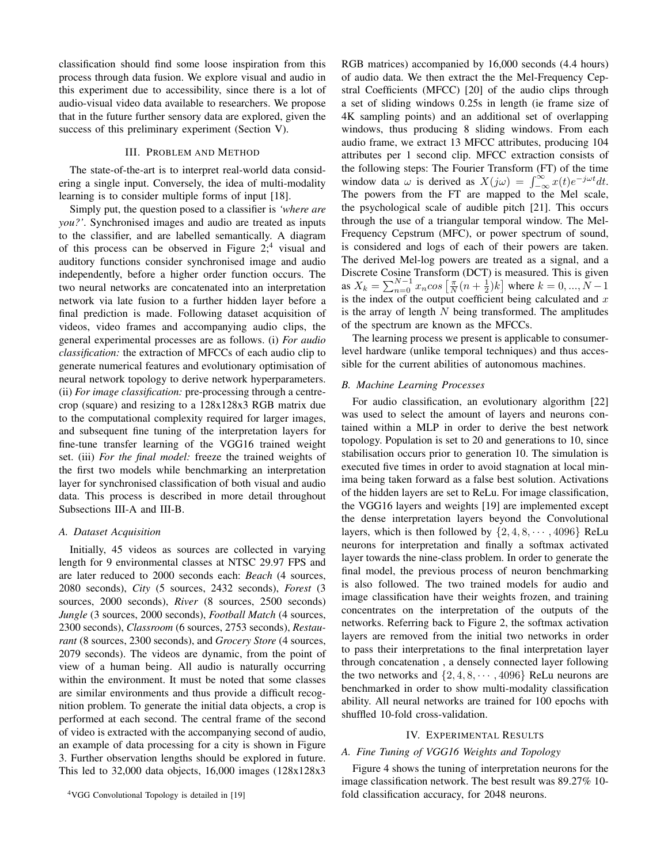classification should find some loose inspiration from this process through data fusion. We explore visual and audio in this experiment due to accessibility, since there is a lot of audio-visual video data available to researchers. We propose that in the future further sensory data are explored, given the success of this preliminary experiment (Section V).

#### III. PROBLEM AND METHOD

The state-of-the-art is to interpret real-world data considering a single input. Conversely, the idea of multi-modality learning is to consider multiple forms of input [18].

Simply put, the question posed to a classifier is *'where are you?'*. Synchronised images and audio are treated as inputs to the classifier, and are labelled semantically. A diagram of this process can be observed in Figure  $2;^{4}$  visual and auditory functions consider synchronised image and audio independently, before a higher order function occurs. The two neural networks are concatenated into an interpretation network via late fusion to a further hidden layer before a final prediction is made. Following dataset acquisition of videos, video frames and accompanying audio clips, the general experimental processes are as follows. (i) *For audio classification:* the extraction of MFCCs of each audio clip to generate numerical features and evolutionary optimisation of neural network topology to derive network hyperparameters. (ii) *For image classification:* pre-processing through a centrecrop (square) and resizing to a 128x128x3 RGB matrix due to the computational complexity required for larger images, and subsequent fine tuning of the interpretation layers for fine-tune transfer learning of the VGG16 trained weight set. (iii) *For the final model:* freeze the trained weights of the first two models while benchmarking an interpretation layer for synchronised classification of both visual and audio data. This process is described in more detail throughout Subsections III-A and III-B.

## *A. Dataset Acquisition*

Initially, 45 videos as sources are collected in varying length for 9 environmental classes at NTSC 29.97 FPS and are later reduced to 2000 seconds each: *Beach* (4 sources, 2080 seconds), *City* (5 sources, 2432 seconds), *Forest* (3 sources, 2000 seconds), *River* (8 sources, 2500 seconds) *Jungle* (3 sources, 2000 seconds), *Football Match* (4 sources, 2300 seconds), *Classroom* (6 sources, 2753 seconds), *Restaurant* (8 sources, 2300 seconds), and *Grocery Store* (4 sources, 2079 seconds). The videos are dynamic, from the point of view of a human being. All audio is naturally occurring within the environment. It must be noted that some classes are similar environments and thus provide a difficult recognition problem. To generate the initial data objects, a crop is performed at each second. The central frame of the second of video is extracted with the accompanying second of audio, an example of data processing for a city is shown in Figure 3. Further observation lengths should be explored in future. This led to 32,000 data objects, 16,000 images (128x128x3 RGB matrices) accompanied by 16,000 seconds (4.4 hours) of audio data. We then extract the the Mel-Frequency Cepstral Coefficients (MFCC) [20] of the audio clips through a set of sliding windows 0.25s in length (ie frame size of 4K sampling points) and an additional set of overlapping windows, thus producing 8 sliding windows. From each audio frame, we extract 13 MFCC attributes, producing 104 attributes per 1 second clip. MFCC extraction consists of the following steps: The Fourier Transform (FT) of the time window data  $\omega$  is derived as  $X(j\omega) = \int_{-\infty}^{\infty} x(t)e^{-j\omega t}dt$ . The powers from the FT are mapped to the Mel scale, the psychological scale of audible pitch [21]. This occurs through the use of a triangular temporal window. The Mel-Frequency Cepstrum (MFC), or power spectrum of sound, is considered and logs of each of their powers are taken. The derived Mel-log powers are treated as a signal, and a Discrete Cosine Transform (DCT) is measured. This is given as  $X_k = \sum_{n=0}^{N-1} x_n \cos\left[\frac{\pi}{N}(n+\frac{1}{2})k\right]$  where  $k = 0, ..., N-1$ is the index of the output coefficient being calculated and  $x$ is the array of length  $N$  being transformed. The amplitudes of the spectrum are known as the MFCCs.

The learning process we present is applicable to consumerlevel hardware (unlike temporal techniques) and thus accessible for the current abilities of autonomous machines.

### *B. Machine Learning Processes*

For audio classification, an evolutionary algorithm [22] was used to select the amount of layers and neurons contained within a MLP in order to derive the best network topology. Population is set to 20 and generations to 10, since stabilisation occurs prior to generation 10. The simulation is executed five times in order to avoid stagnation at local minima being taken forward as a false best solution. Activations of the hidden layers are set to ReLu. For image classification, the VGG16 layers and weights [19] are implemented except the dense interpretation layers beyond the Convolutional layers, which is then followed by  $\{2, 4, 8, \cdots, 4096\}$  ReLu neurons for interpretation and finally a softmax activated layer towards the nine-class problem. In order to generate the final model, the previous process of neuron benchmarking is also followed. The two trained models for audio and image classification have their weights frozen, and training concentrates on the interpretation of the outputs of the networks. Referring back to Figure 2, the softmax activation layers are removed from the initial two networks in order to pass their interpretations to the final interpretation layer through concatenation , a densely connected layer following the two networks and  $\{2, 4, 8, \cdots, 4096\}$  ReLu neurons are benchmarked in order to show multi-modality classification ability. All neural networks are trained for 100 epochs with shuffled 10-fold cross-validation.

#### IV. EXPERIMENTAL RESULTS

#### *A. Fine Tuning of VGG16 Weights and Topology*

Figure 4 shows the tuning of interpretation neurons for the image classification network. The best result was 89.27% 10 fold classification accuracy, for 2048 neurons.

<sup>4</sup>VGG Convolutional Topology is detailed in [19]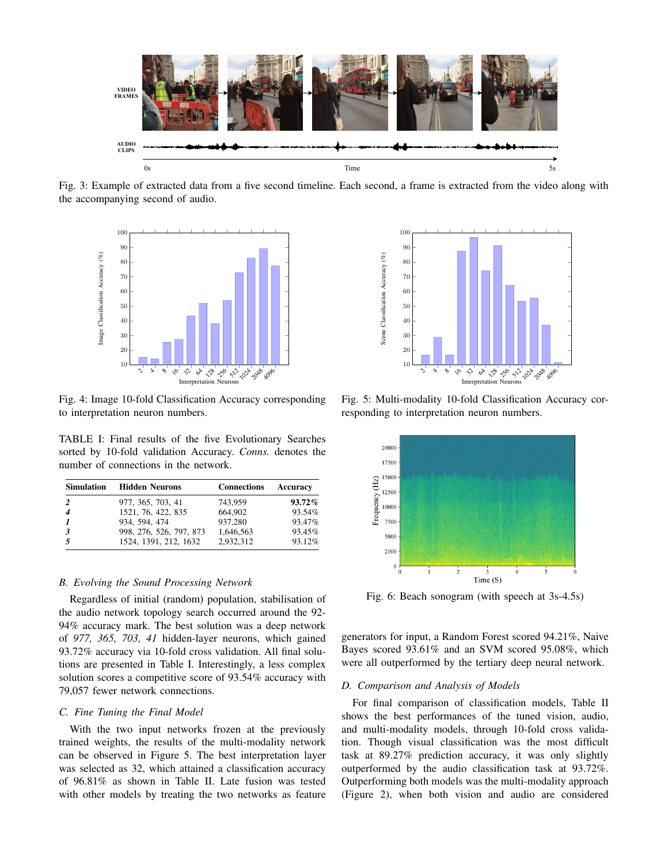

Fig. 3: Example of extracted data from a five second timeline. Each second, a frame is extracted from the video along with the accompanying second of audio.



Fig. 4: Image 10-fold Classification Accuracy corresponding to interpretation neuron numbers.

TABLE I: Final results of the five Evolutionary Searches sorted by 10-fold validation Accuracy. *Conns.* denotes the number of connections in the network.

| Simulation | <b>Hidden Neurons</b>   | <b>Connections</b> | Accuracy |
|------------|-------------------------|--------------------|----------|
|            | 977, 365, 703, 41       | 743.959            | 93.72%   |
|            | 1521, 76, 422, 835      | 664.902            | 93.54%   |
|            | 934, 594, 474           | 937.280            | 93.47%   |
|            | 998, 276, 526, 797, 873 | 1,646,563          | 93.45%   |
|            | 1524, 1391, 212, 1632   | 2.932.312          | 93.12%   |

## *B. Evolving the Sound Processing Network*

Regardless of initial (random) population, stabilisation of the audio network topology search occurred around the 92- 94% accuracy mark. The best solution was a deep network of *977, 365, 703, 41* hidden-layer neurons, which gained 93.72% accuracy via 10-fold cross validation. All final solutions are presented in Table I. Interestingly, a less complex solution scores a competitive score of 93.54% accuracy with 79,057 fewer network connections.

## *C. Fine Tuning the Final Model*

With the two input networks frozen at the previously trained weights, the results of the multi-modality network can be observed in Figure 5. The best interpretation layer was selected as 32, which attained a classification accuracy of 96.81% as shown in Table II. Late fusion was tested with other models by treating the two networks as feature



Fig. 5: Multi-modality 10-fold Classification Accuracy corresponding to interpretation neuron numbers.



Fig. 6: Beach sonogram (with speech at 3s-4.5s)

generators for input, a Random Forest scored 94.21%, Naive Bayes scored 93.61% and an SVM scored 95.08%, which were all outperformed by the tertiary deep neural network.

## *D. Comparison and Analysis of Models*

For final comparison of classification models, Table II shows the best performances of the tuned vision, audio, and multi-modality models, through 10-fold cross validation. Though visual classification was the most difficult task at 89.27% prediction accuracy, it was only slightly outperformed by the audio classification task at 93.72%. Outperforming both models was the multi-modality approach (Figure 2), when both vision and audio are considered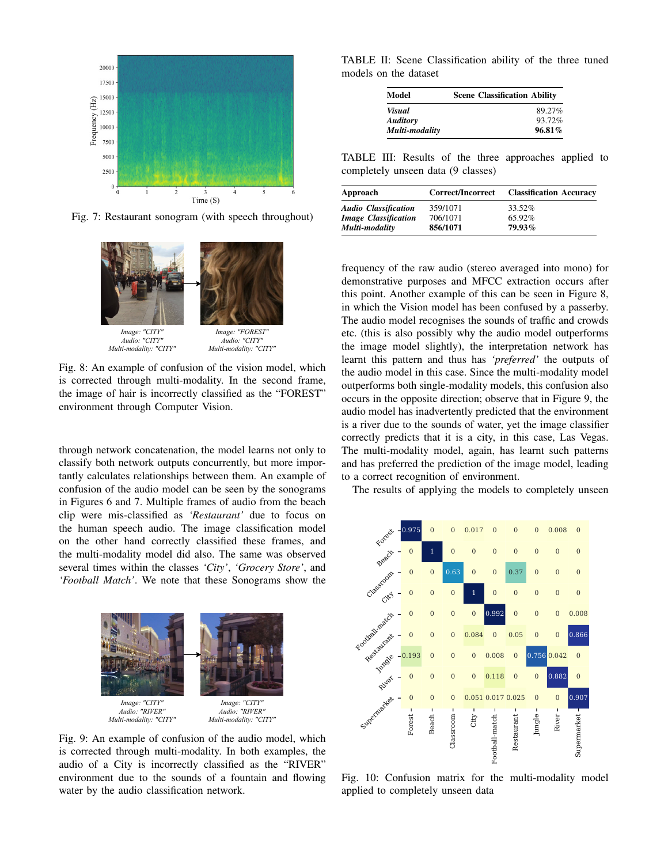

Fig. 7: Restaurant sonogram (with speech throughout)



*Audio: "CITY" Multi-modality: "CITY"*

*Audio: "CITY" Multi-modality: "CITY"*

Fig. 8: An example of confusion of the vision model, which is corrected through multi-modality. In the second frame, the image of hair is incorrectly classified as the "FOREST" environment through Computer Vision.

through network concatenation, the model learns not only to classify both network outputs concurrently, but more importantly calculates relationships between them. An example of confusion of the audio model can be seen by the sonograms in Figures 6 and 7. Multiple frames of audio from the beach clip were mis-classified as *'Restaurant'* due to focus on the human speech audio. The image classification model on the other hand correctly classified these frames, and the multi-modality model did also. The same was observed several times within the classes *'City'*, *'Grocery Store'*, and *'Football Match'*. We note that these Sonograms show the



Fig. 9: An example of confusion of the audio model, which is corrected through multi-modality. In both examples, the audio of a City is incorrectly classified as the "RIVER" environment due to the sounds of a fountain and flowing water by the audio classification network.

TABLE II: Scene Classification ability of the three tuned models on the dataset

| Model           | <b>Scene Classification Ability</b> |  |
|-----------------|-------------------------------------|--|
| Visual          | 89.27%                              |  |
| <b>Auditory</b> | 93.72%                              |  |
| Multi-modality  | $96.81\%$                           |  |

TABLE III: Results of the three approaches applied to completely unseen data (9 classes)

| Approach                    | <b>Correct/Incorrect</b> | <b>Classification Accuracy</b> |
|-----------------------------|--------------------------|--------------------------------|
| <b>Audio Classification</b> | 359/1071                 | 33.52%                         |
| <b>Image Classification</b> | 706/1071                 | 65.92%                         |
| Multi-modality              | 856/1071                 | 79.93%                         |

frequency of the raw audio (stereo averaged into mono) for demonstrative purposes and MFCC extraction occurs after this point. Another example of this can be seen in Figure 8, in which the Vision model has been confused by a passerby. The audio model recognises the sounds of traffic and crowds etc. (this is also possibly why the audio model outperforms the image model slightly), the interpretation network has learnt this pattern and thus has *'preferred'* the outputs of the audio model in this case. Since the multi-modality model outperforms both single-modality models, this confusion also occurs in the opposite direction; observe that in Figure 9, the audio model has inadvertently predicted that the environment is a river due to the sounds of water, yet the image classifier correctly predicts that it is a city, in this case, Las Vegas. The multi-modality model, again, has learnt such patterns and has preferred the prediction of the image model, leading to a correct recognition of environment.

The results of applying the models to completely unseen



Fig. 10: Confusion matrix for the multi-modality model applied to completely unseen data